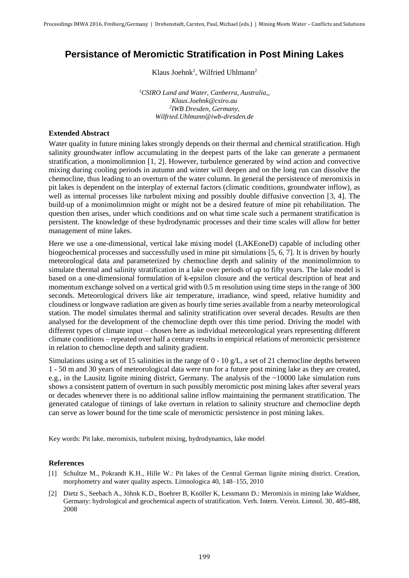## **Persistance of Meromictic Stratification in Post Mining Lakes**

Klaus Joehnk<sup>1</sup>, Wilfried Uhlmann<sup>2</sup>

*<sup>1</sup>CSIRO Land and Water, Canberra, Australia,, Klaus.Joehnk@csiro.au 2 IWB Dresden, Germany, Wilfried.Uhlmann@iwb-dresden.de*

## **Extended Abstract**

Water quality in future mining lakes strongly depends on their thermal and chemical stratification. High salinity groundwater inflow accumulating in the deepest parts of the lake can generate a permanent stratification, a monimolimnion [1, 2]. However, turbulence generated by wind action and convective mixing during cooling periods in autumn and winter will deepen and on the long run can dissolve the chemocline, thus leading to an overturn of the water column. In general the persistence of meromixis in pit lakes is dependent on the interplay of external factors (climatic conditions, groundwater inflow), as well as internal processes like turbulent mixing and possibly double diffusive convection [3, 4]. The build-up of a monimolimnion might or might not be a desired feature of mine pit rehabilitation. The question then arises, under which conditions and on what time scale such a permanent stratification is persistent. The knowledge of these hydrodynamic processes and their time scales will allow for better management of mine lakes.

Here we use a one-dimensional, vertical lake mixing model (LAKEoneD) capable of including other biogeochemical processes and successfully used in mine pit simulations [5, 6, 7]. It is driven by hourly meteorological data and parameterized by chemocline depth and salinity of the monimolimnion to simulate thermal and salinity stratification in a lake over periods of up to fifty years. The lake model is based on a one-dimensional formulation of k-epsilon closure and the vertical description of heat and momentum exchange solved on a vertical grid with 0.5 m resolution using time steps in the range of 300 seconds. Meteorological drivers like air temperature, irradiance, wind speed, relative humidity and cloudiness or longwave radiation are given as hourly time series available from a nearby meteorological station. The model simulates thermal and salinity stratification over several decades. Results are then analysed for the development of the chemocline depth over this time period. Driving the model with different types of climate input – chosen here as individual meteorological years representing different climate conditions – repeated over half a century results in empirical relations of meromictic persistence in relation to chemocline depth and salinity gradient.

Simulations using a set of 15 salinities in the range of 0 - 10 g/L, a set of 21 chemocline depths between 1 - 50 m and 30 years of meteorological data were run for a future post mining lake as they are created, e.g., in the Lausitz lignite mining district, Germany. The analysis of the ~10000 lake simulation runs shows a consistent pattern of overturn in such possibly meromictic post mining lakes after several years or decades whenever there is no additional saline inflow maintaining the permanent stratification. The generated catalogue of timings of lake overturn in relation to salinity structure and chemocline depth can serve as lower bound for the time scale of meromictic persistence in post mining lakes.

Key words: Pit lake, meromixis, turbulent mixing, hydrodynamics, lake model

## **References**

- [1] Schultze M., Pokrandt K.H., Hille W.: Pit lakes of the Central German lignite mining district. Creation, morphometry and water quality aspects. Limnologica 40, 148–155, 2010
- [2] Dietz S., Seebach A., Jöhnk K.D., Boehrer B, Knöller K, Lessmann D.: Meromixis in mining lake Waldsee, Germany: hydrological and geochemical aspects of stratification. Verh. Intern. Verein. Limnol. 30, 485-488, 2008